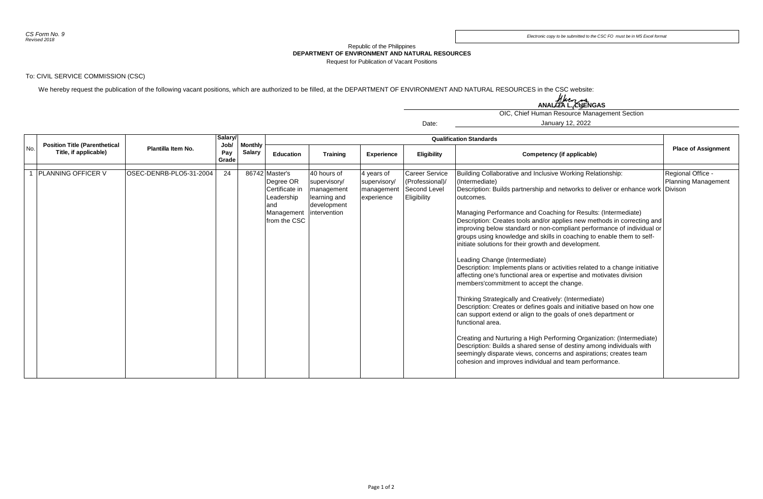## Republic of the Philippines **DEPARTMENT OF ENVIRONMENT AND NATURAL RESOURCES**

Request for Publication of Vacant Positions

Date:

## To: CIVIL SERVICE COMMISSION (CSC)

We hereby request the publication of the following vacant positions, which are authorized to be filled, at the DEPARTMENT OF ENVIRONMENT AND NATURAL RESOURCES in the CSC website:

ANALIZA L. LUENGAS

OIC, Chief Human Resource Management Section

January 12, 2022

|     |                                                               |                         | Salary/<br>Job/<br>Pay<br>Grade | <b>Monthly</b><br><b>Salary</b> | <b>Qualification Standards</b>                                                                   |                                                                                          |                                                        |                                                                         |                                                                                                                                                                                                                                                                                                                                                                                                                                                                                                                                                                                                                                                                                                                                                                                                                                                                                                                                                                                                                                                                                                                                                                                                                                                                                 |                                          |
|-----|---------------------------------------------------------------|-------------------------|---------------------------------|---------------------------------|--------------------------------------------------------------------------------------------------|------------------------------------------------------------------------------------------|--------------------------------------------------------|-------------------------------------------------------------------------|---------------------------------------------------------------------------------------------------------------------------------------------------------------------------------------------------------------------------------------------------------------------------------------------------------------------------------------------------------------------------------------------------------------------------------------------------------------------------------------------------------------------------------------------------------------------------------------------------------------------------------------------------------------------------------------------------------------------------------------------------------------------------------------------------------------------------------------------------------------------------------------------------------------------------------------------------------------------------------------------------------------------------------------------------------------------------------------------------------------------------------------------------------------------------------------------------------------------------------------------------------------------------------|------------------------------------------|
| No. | <b>Position Title (Parenthetical</b><br>Title, if applicable) | Plantilla Item No.      |                                 |                                 | Education                                                                                        | Training                                                                                 | <b>Experience</b>                                      | Eligibility                                                             | Competency (if applicable)                                                                                                                                                                                                                                                                                                                                                                                                                                                                                                                                                                                                                                                                                                                                                                                                                                                                                                                                                                                                                                                                                                                                                                                                                                                      | <b>Place of Assignment</b>               |
|     |                                                               |                         |                                 |                                 |                                                                                                  |                                                                                          |                                                        |                                                                         |                                                                                                                                                                                                                                                                                                                                                                                                                                                                                                                                                                                                                                                                                                                                                                                                                                                                                                                                                                                                                                                                                                                                                                                                                                                                                 |                                          |
|     | <b>PLANNING OFFICER V</b>                                     | OSEC-DENRB-PLO5-31-2004 | 24                              |                                 | 86742 Master's<br>Degree OR<br>Certificate in<br>Leadership<br>and<br>Management<br>from the CSC | 40 hours of<br>supervisory/<br>management<br>learning and<br>development<br>intervention | 4 years of<br>supervisory/<br>management<br>experience | <b>Career Service</b><br>(Professional)/<br>Second Level<br>Eligibility | Building Collaborative and Inclusive Working Relationship:<br>(Intermediate)<br>Description: Builds partnership and networks to deliver or enhance work Divison<br>outcomes.<br>Managing Performance and Coaching for Results: (Intermediate)<br>Description: Creates tools and/or applies new methods in correcting and<br>improving below standard or non-compliant performance of individual or<br>groups using knowledge and skills in coaching to enable them to self-<br>initiate solutions for their growth and development.<br>Leading Change (Intermediate)<br>Description: Implements plans or activities related to a change initiative<br>affecting one's functional area or expertise and motivates division<br>members' commitment to accept the change.<br>Thinking Strategically and Creatively: (Intermediate)<br>Description: Creates or defines goals and initiative based on how one<br>can support extend or align to the goals of ones department or<br>Ifunctional area.<br>Creating and Nurturing a High Performing Organization: (Intermediate)<br>Description: Builds a shared sense of destiny among individuals with<br>seemingly disparate views, concerns and aspirations; creates team<br>cohesion and improves individual and team performance. | Regional Office -<br>Planning Management |